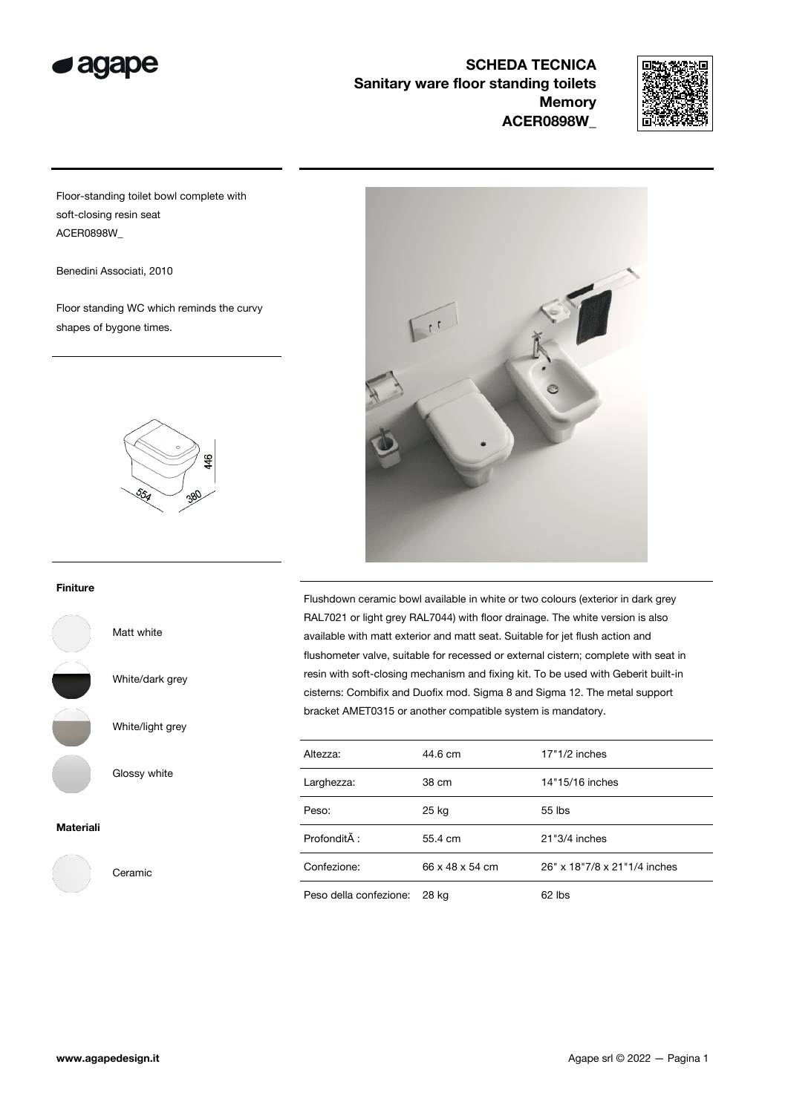

SCHEDA TECNICA Sanitary ware floor standing toilets **Memory** ACER0898W\_



Floor-standing toilet bowl complete with soft-closing resin seat ACER0898W\_

Benedini Associati, 2010

Floor standing WC which reminds the curvy shapes of bygone times.



## Finiture

Matt white

White/dark grey

White/light grey

Glossy white

Ceramic

## Materiali



Flushdown ceramic bowl available in white or two colours (exterior in dark grey RAL7021 or light grey RAL7044) with floor drainage. The white version is also available with matt exterior and matt seat. Suitable for jet flush action and flushometer valve, suitable for recessed or external cistern; complete with seat in resin with soft-closing mechanism and fixing kit. To be used with Geberit built-in cisterns: Combifix and Duofix mod. Sigma 8 and Sigma 12. The metal support bracket AMET0315 or another compatible system is mandatory.

| Altezza:               | 44.6 cm         | $17"1/2$ inches              |
|------------------------|-----------------|------------------------------|
| Larghezza:             | 38 cm           | 14"15/16 inches              |
| Peso:                  | 25 kg           | $55$ lbs                     |
| ProfonditĂ:            | 55.4 cm         | 21"3/4 inches                |
| Confezione:            | 66 x 48 x 54 cm | 26" x 18"7/8 x 21"1/4 inches |
| Peso della confezione: | 28 kg           | $62$ lbs                     |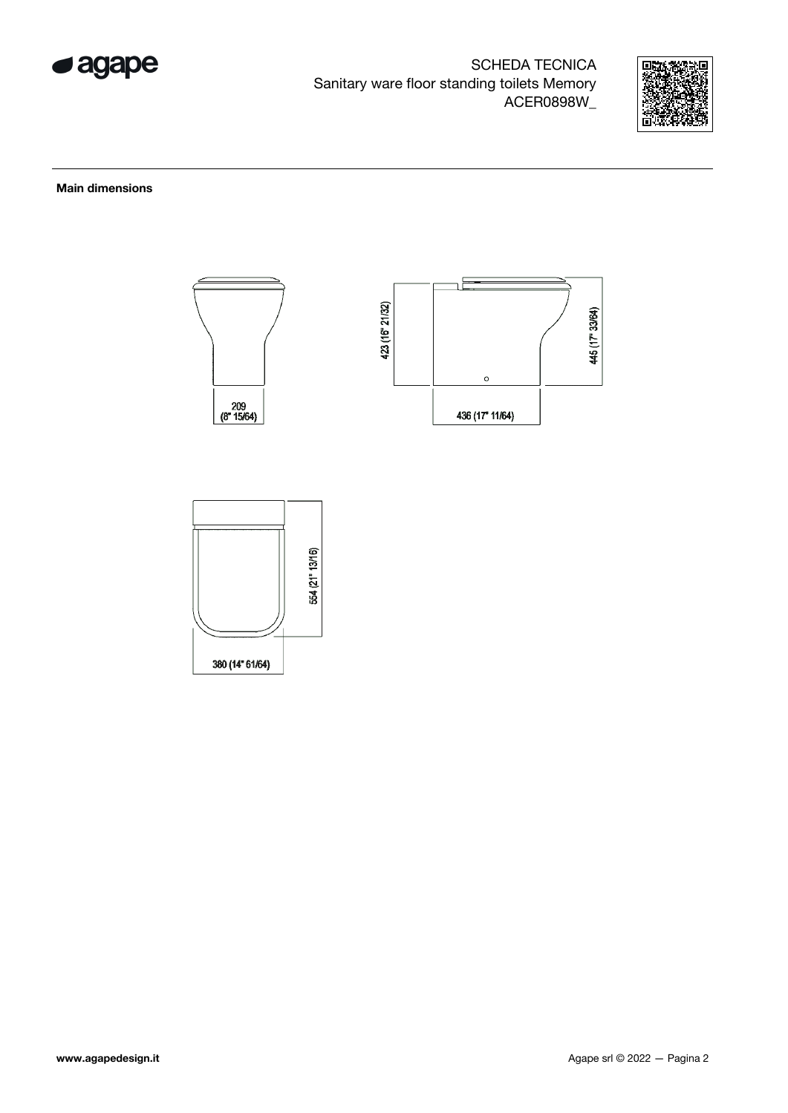

SCHEDA TECNICA Sanitary ware floor standing toilets Memory ACER0898W\_



Main dimensions



380 (14" 61/64)